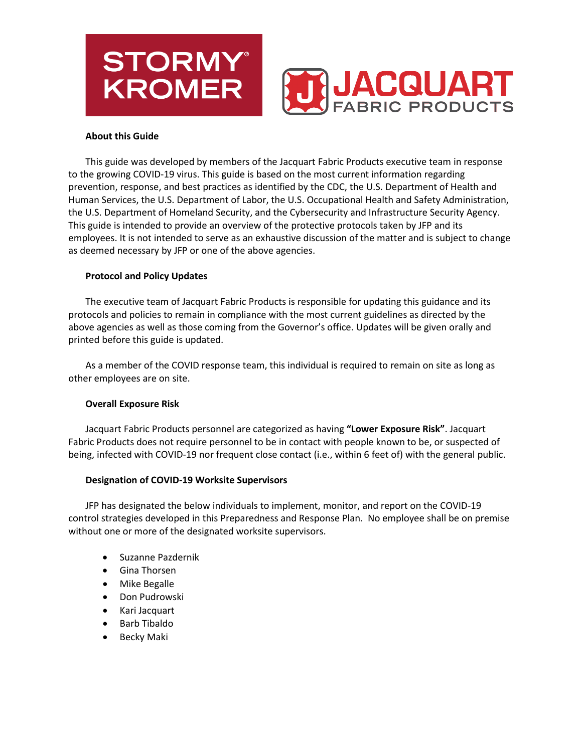



## **About this Guide**

This guide was developed by members of the Jacquart Fabric Products executive team in response to the growing COVID-19 virus. This guide is based on the most current information regarding prevention, response, and best practices as identified by the CDC, the U.S. Department of Health and Human Services, the U.S. Department of Labor, the U.S. Occupational Health and Safety Administration, the U.S. Department of Homeland Security, and the Cybersecurity and Infrastructure Security Agency. This guide is intended to provide an overview of the protective protocols taken by JFP and its employees. It is not intended to serve as an exhaustive discussion of the matter and is subject to change as deemed necessary by JFP or one of the above agencies.

 $\overline{\phantom{a}}$ 

## **Protocol and Policy Updates**

The executive team of Jacquart Fabric Products is responsible for updating this guidance and its protocols and policies to remain in compliance with the most current guidelines as directed by the above agencies as well as those coming from the Governor's office. Updates will be given orally and printed before this guide is updated.

As a member of the COVID response team, this individual is required to remain on site as long as other employees are on site.

## **Overall Exposure Risk**

Jacquart Fabric Products personnel are categorized as having **"Lower Exposure Risk"**. Jacquart Fabric Products does not require personnel to be in contact with people known to be, or suspected of being, infected with COVID-19 nor frequent close contact (i.e., within 6 feet of) with the general public.

## **Designation of COVID-19 Worksite Supervisors**

JFP has designated the below individuals to implement, monitor, and report on the COVID-19 control strategies developed in this Preparedness and Response Plan. No employee shall be on premise without one or more of the designated worksite supervisors.

- Suzanne Pazdernik
- Gina Thorsen
- Mike Begalle
- Don Pudrowski
- Kari Jacquart
- Barb Tibaldo
- Becky Maki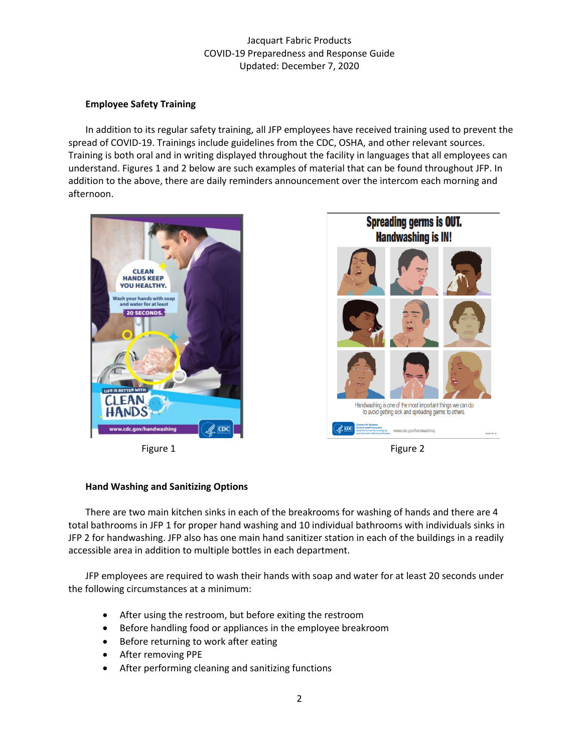# **Employee Safety Training**

In addition to its regular safety training, all JFP employees have received training used to prevent the spread of COVID-19. Trainings include guidelines from the CDC, OSHA, and other relevant sources. Training is both oral and in writing displayed throughout the facility in languages that all employees can understand. Figures 1 and 2 below are such examples of material that can be found throughout JFP. In addition to the above, there are daily reminders announcement over the intercom each morning and afternoon.



**Figure 1** Figure 2



## **Hand Washing and Sanitizing Options**

There are two main kitchen sinks in each of the breakrooms for washing of hands and there are 4 total bathrooms in JFP 1 for proper hand washing and 10 individual bathrooms with individuals sinks in JFP 2 for handwashing. JFP also has one main hand sanitizer station in each of the buildings in a readily accessible area in addition to multiple bottles in each department.

JFP employees are required to wash their hands with soap and water for at least 20 seconds under the following circumstances at a minimum:

- After using the restroom, but before exiting the restroom
- Before handling food or appliances in the employee breakroom
- Before returning to work after eating
- After removing PPE
- After performing cleaning and sanitizing functions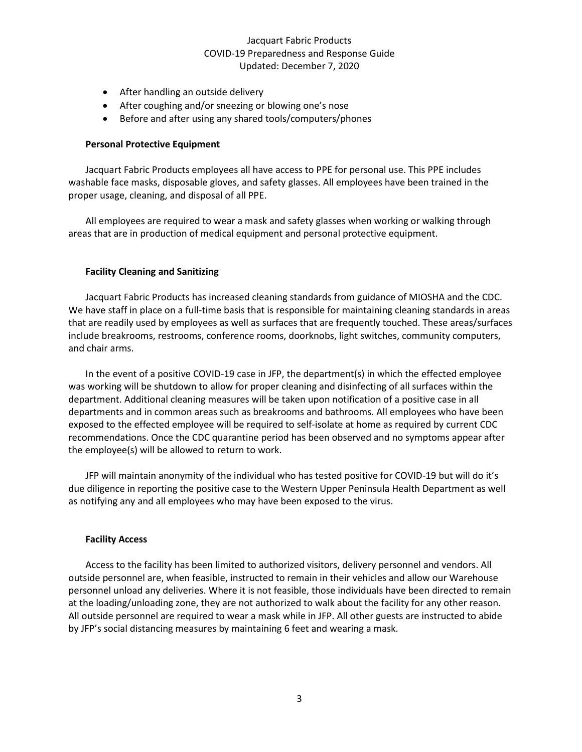- After handling an outside delivery
- After coughing and/or sneezing or blowing one's nose
- Before and after using any shared tools/computers/phones

### **Personal Protective Equipment**

Jacquart Fabric Products employees all have access to PPE for personal use. This PPE includes washable face masks, disposable gloves, and safety glasses. All employees have been trained in the proper usage, cleaning, and disposal of all PPE.

All employees are required to wear a mask and safety glasses when working or walking through areas that are in production of medical equipment and personal protective equipment.

### **Facility Cleaning and Sanitizing**

Jacquart Fabric Products has increased cleaning standards from guidance of MIOSHA and the CDC. We have staff in place on a full-time basis that is responsible for maintaining cleaning standards in areas that are readily used by employees as well as surfaces that are frequently touched. These areas/surfaces include breakrooms, restrooms, conference rooms, doorknobs, light switches, community computers, and chair arms.

In the event of a positive COVID-19 case in JFP, the department(s) in which the effected employee was working will be shutdown to allow for proper cleaning and disinfecting of all surfaces within the department. Additional cleaning measures will be taken upon notification of a positive case in all departments and in common areas such as breakrooms and bathrooms. All employees who have been exposed to the effected employee will be required to self-isolate at home as required by current CDC recommendations. Once the CDC quarantine period has been observed and no symptoms appear after the employee(s) will be allowed to return to work.

JFP will maintain anonymity of the individual who has tested positive for COVID-19 but will do it's due diligence in reporting the positive case to the Western Upper Peninsula Health Department as well as notifying any and all employees who may have been exposed to the virus.

#### **Facility Access**

Access to the facility has been limited to authorized visitors, delivery personnel and vendors. All outside personnel are, when feasible, instructed to remain in their vehicles and allow our Warehouse personnel unload any deliveries. Where it is not feasible, those individuals have been directed to remain at the loading/unloading zone, they are not authorized to walk about the facility for any other reason. All outside personnel are required to wear a mask while in JFP. All other guests are instructed to abide by JFP's social distancing measures by maintaining 6 feet and wearing a mask.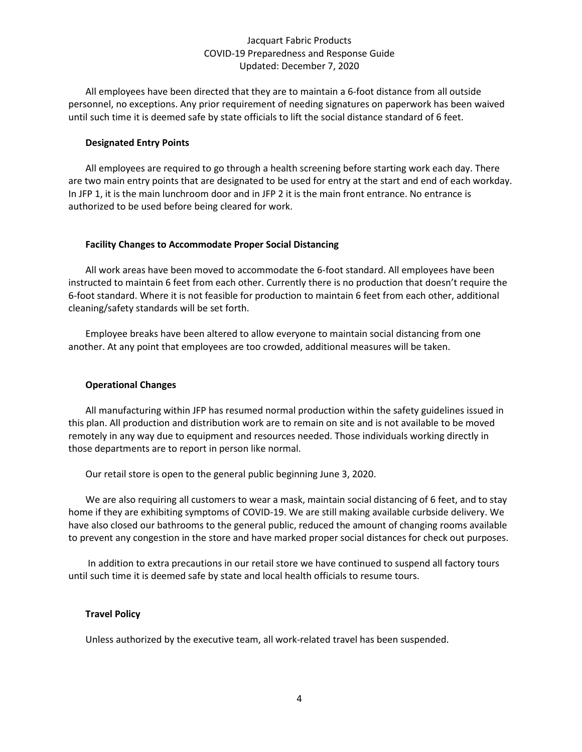All employees have been directed that they are to maintain a 6-foot distance from all outside personnel, no exceptions. Any prior requirement of needing signatures on paperwork has been waived until such time it is deemed safe by state officials to lift the social distance standard of 6 feet.

#### **Designated Entry Points**

All employees are required to go through a health screening before starting work each day. There are two main entry points that are designated to be used for entry at the start and end of each workday. In JFP 1, it is the main lunchroom door and in JFP 2 it is the main front entrance. No entrance is authorized to be used before being cleared for work.

#### **Facility Changes to Accommodate Proper Social Distancing**

All work areas have been moved to accommodate the 6-foot standard. All employees have been instructed to maintain 6 feet from each other. Currently there is no production that doesn't require the 6-foot standard. Where it is not feasible for production to maintain 6 feet from each other, additional cleaning/safety standards will be set forth.

Employee breaks have been altered to allow everyone to maintain social distancing from one another. At any point that employees are too crowded, additional measures will be taken.

## **Operational Changes**

All manufacturing within JFP has resumed normal production within the safety guidelines issued in this plan. All production and distribution work are to remain on site and is not available to be moved remotely in any way due to equipment and resources needed. Those individuals working directly in those departments are to report in person like normal.

Our retail store is open to the general public beginning June 3, 2020.

We are also requiring all customers to wear a mask, maintain social distancing of 6 feet, and to stay home if they are exhibiting symptoms of COVID-19. We are still making available curbside delivery. We have also closed our bathrooms to the general public, reduced the amount of changing rooms available to prevent any congestion in the store and have marked proper social distances for check out purposes.

In addition to extra precautions in our retail store we have continued to suspend all factory tours until such time it is deemed safe by state and local health officials to resume tours.

#### **Travel Policy**

Unless authorized by the executive team, all work-related travel has been suspended.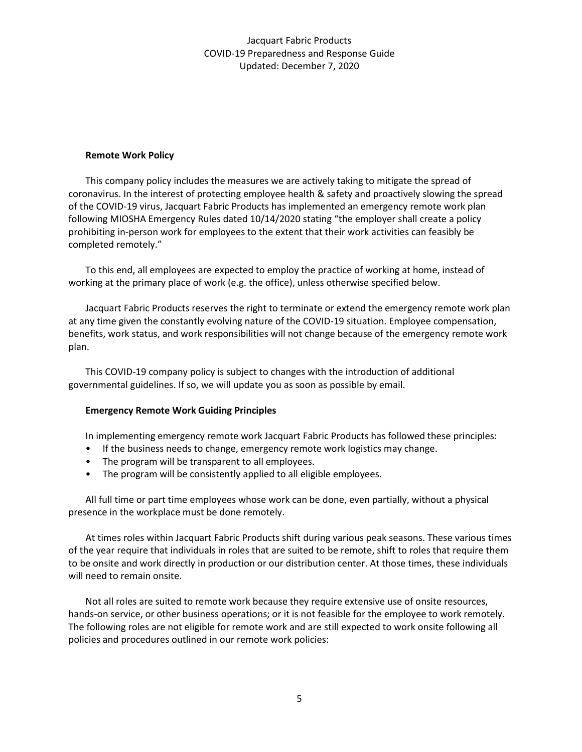## **Remote Work Policy**

This company policy includes the measures we are actively taking to mitigate the spread of coronavirus. In the interest of protecting employee health & safety and proactively slowing the spread of the COVID-19 virus, Jacquart Fabric Products has implemented an emergency remote work plan following MIOSHA Emergency Rules dated 10/14/2020 stating "the employer shall create a policy prohibiting in-person work for employees to the extent that their work activities can feasibly be completed remotely."

To this end, all employees are expected to employ the practice of working at home, instead of working at the primary place of work (e.g. the office), unless otherwise specified below.

Jacquart Fabric Products reserves the right to terminate or extend the emergency remote work plan at any time given the constantly evolving nature of the COVID-19 situation. Employee compensation, benefits, work status, and work responsibilities will not change because of the emergency remote work plan.

This COVID-19 company policy is subject to changes with the introduction of additional governmental guidelines. If so, we will update you as soon as possible by email.

## **Emergency Remote Work Guiding Principles**

In implementing emergency remote work Jacquart Fabric Products has followed these principles:

- If the business needs to change, emergency remote work logistics may change.
- The program will be transparent to all employees.
- The program will be consistently applied to all eligible employees.

All full time or part time employees whose work can be done, even partially, without a physical presence in the workplace must be done remotely.

At times roles within Jacquart Fabric Products shift during various peak seasons. These various times of the year require that individuals in roles that are suited to be remote, shift to roles that require them to be onsite and work directly in production or our distribution center. At those times, these individuals will need to remain onsite.

Not all roles are suited to remote work because they require extensive use of onsite resources, hands-on service, or other business operations; or it is not feasible for the employee to work remotely. The following roles are not eligible for remote work and are still expected to work onsite following all policies and procedures outlined in our remote work policies: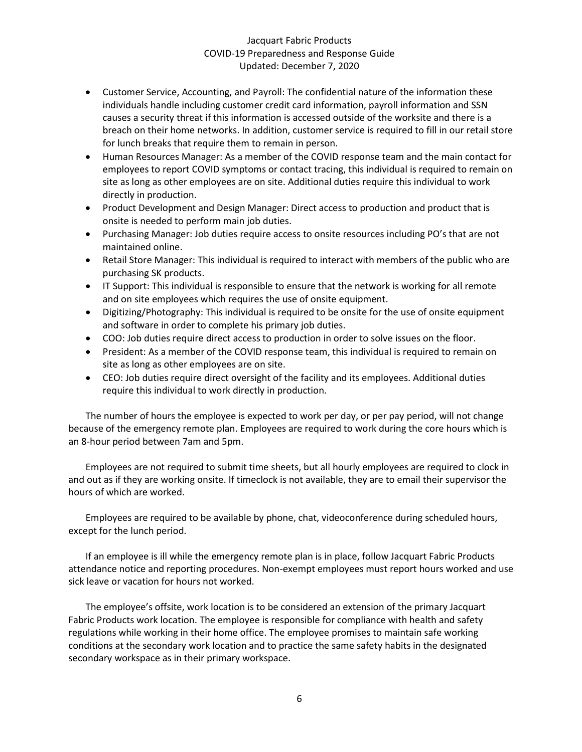- Customer Service, Accounting, and Payroll: The confidential nature of the information these individuals handle including customer credit card information, payroll information and SSN causes a security threat if this information is accessed outside of the worksite and there is a breach on their home networks. In addition, customer service is required to fill in our retail store for lunch breaks that require them to remain in person.
- Human Resources Manager: As a member of the COVID response team and the main contact for employees to report COVID symptoms or contact tracing, this individual is required to remain on site as long as other employees are on site. Additional duties require this individual to work directly in production.
- Product Development and Design Manager: Direct access to production and product that is onsite is needed to perform main job duties.
- Purchasing Manager: Job duties require access to onsite resources including PO's that are not maintained online.
- Retail Store Manager: This individual is required to interact with members of the public who are purchasing SK products.
- IT Support: This individual is responsible to ensure that the network is working for all remote and on site employees which requires the use of onsite equipment.
- Digitizing/Photography: This individual is required to be onsite for the use of onsite equipment and software in order to complete his primary job duties.
- COO: Job duties require direct access to production in order to solve issues on the floor.
- President: As a member of the COVID response team, this individual is required to remain on site as long as other employees are on site.
- CEO: Job duties require direct oversight of the facility and its employees. Additional duties require this individual to work directly in production.

The number of hours the employee is expected to work per day, or per pay period, will not change because of the emergency remote plan. Employees are required to work during the core hours which is an 8-hour period between 7am and 5pm.

Employees are not required to submit time sheets, but all hourly employees are required to clock in and out as if they are working onsite. If timeclock is not available, they are to email their supervisor the hours of which are worked.

Employees are required to be available by phone, chat, videoconference during scheduled hours, except for the lunch period.

If an employee is ill while the emergency remote plan is in place, follow Jacquart Fabric Products attendance notice and reporting procedures. Non-exempt employees must report hours worked and use sick leave or vacation for hours not worked.

The employee's offsite, work location is to be considered an extension of the primary Jacquart Fabric Products work location. The employee is responsible for compliance with health and safety regulations while working in their home office. The employee promises to maintain safe working conditions at the secondary work location and to practice the same safety habits in the designated secondary workspace as in their primary workspace.